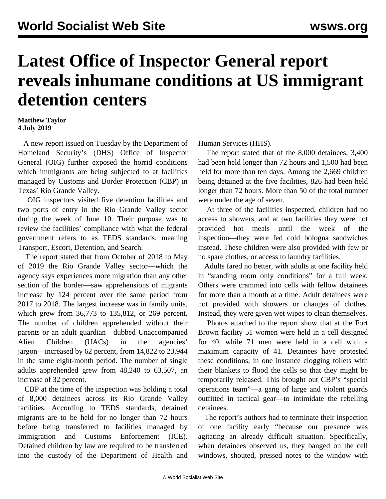## **Latest Office of Inspector General report reveals inhumane conditions at US immigrant detention centers**

## **Matthew Taylor 4 July 2019**

 A new report issued on Tuesday by the Department of Homeland Security's (DHS) Office of Inspector General (OIG) further exposed the horrid conditions which immigrants are being subjected to at facilities managed by Customs and Border Protection (CBP) in Texas' Rio Grande Valley.

 OIG inspectors visited five detention facilities and two ports of entry in the Rio Grande Valley sector during the week of June 10. Their purpose was to review the facilities' compliance with what the federal government refers to as TEDS standards, meaning Transport, Escort, Detention, and Search.

 The report stated that from October of 2018 to May of 2019 the Rio Grande Valley sector—which the agency says experiences more migration than any other section of the border—saw apprehensions of migrants increase by 124 percent over the same period from 2017 to 2018. The largest increase was in family units, which grew from 36,773 to 135,812, or 269 percent. The number of children apprehended without their parents or an adult guardian—dubbed Unaccompanied Alien Children (UACs) in the agencies' jargon—increased by 62 percent, from 14,822 to 23,944 in the same eight-month period. The number of single adults apprehended grew from 48,240 to 63,507, an increase of 32 percent.

 CBP at the time of the inspection was holding a total of 8,000 detainees across its Rio Grande Valley facilities. According to TEDS standards, detained migrants are to be held for no longer than 72 hours before being transferred to facilities managed by Immigration and Customs Enforcement (ICE). Detained children by law are required to be transferred into the custody of the Department of Health and Human Services (HHS).

 The report stated that of the 8,000 detainees, 3,400 had been held longer than 72 hours and 1,500 had been held for more than ten days. Among the 2,669 children being detained at the five facilities, 826 had been held longer than 72 hours. More than 50 of the total number were under the age of seven.

 At three of the facilities inspected, children had no access to showers, and at two facilities they were not provided hot meals until the week of the inspection—they were fed cold bologna sandwiches instead. These children were also provided with few or no spare clothes, or access to laundry facilities.

 Adults fared no better, with adults at one facility held in "standing room only conditions" for a full week. Others were crammed into cells with fellow detainees for more than a month at a time. Adult detainees were not provided with showers or changes of clothes. Instead, they were given wet wipes to clean themselves.

 Photos attached to the report show that at the Fort Brown facility 51 women were held in a cell designed for 40, while 71 men were held in a cell with a maximum capacity of 41. Detainees have protested these conditions, in one instance clogging toilets with their blankets to flood the cells so that they might be temporarily released. This brought out CBP's "special operations team"—a gang of large and violent guards outfitted in tactical gear—to intimidate the rebelling detainees.

 The report's authors had to terminate their inspection of one facility early "because our presence was agitating an already difficult situation. Specifically, when detainees observed us, they banged on the cell windows, shouted, pressed notes to the window with